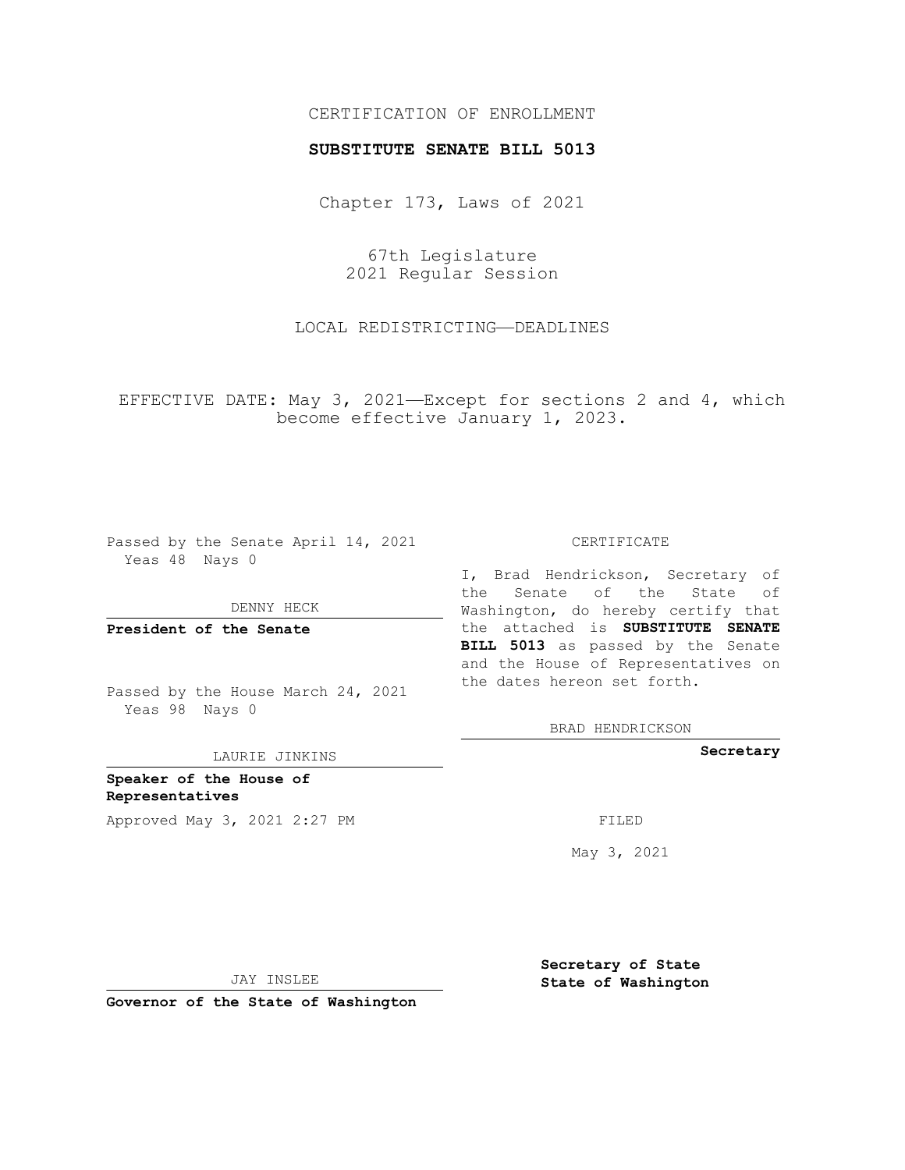## CERTIFICATION OF ENROLLMENT

#### **SUBSTITUTE SENATE BILL 5013**

Chapter 173, Laws of 2021

67th Legislature 2021 Regular Session

LOCAL REDISTRICTING—DEADLINES

EFFECTIVE DATE: May 3, 2021—Except for sections 2 and 4, which become effective January 1, 2023.

Passed by the Senate April 14, 2021 Yeas 48 Nays 0

DENNY HECK

**President of the Senate**

Passed by the House March 24, 2021 Yeas 98 Nays 0

LAURIE JINKINS

**Speaker of the House of Representatives** Approved May 3, 2021 2:27 PM

CERTIFICATE

I, Brad Hendrickson, Secretary of the Senate of the State of Washington, do hereby certify that the attached is **SUBSTITUTE SENATE BILL 5013** as passed by the Senate and the House of Representatives on the dates hereon set forth.

BRAD HENDRICKSON

**Secretary**

May 3, 2021

JAY INSLEE

**Governor of the State of Washington**

**Secretary of State State of Washington**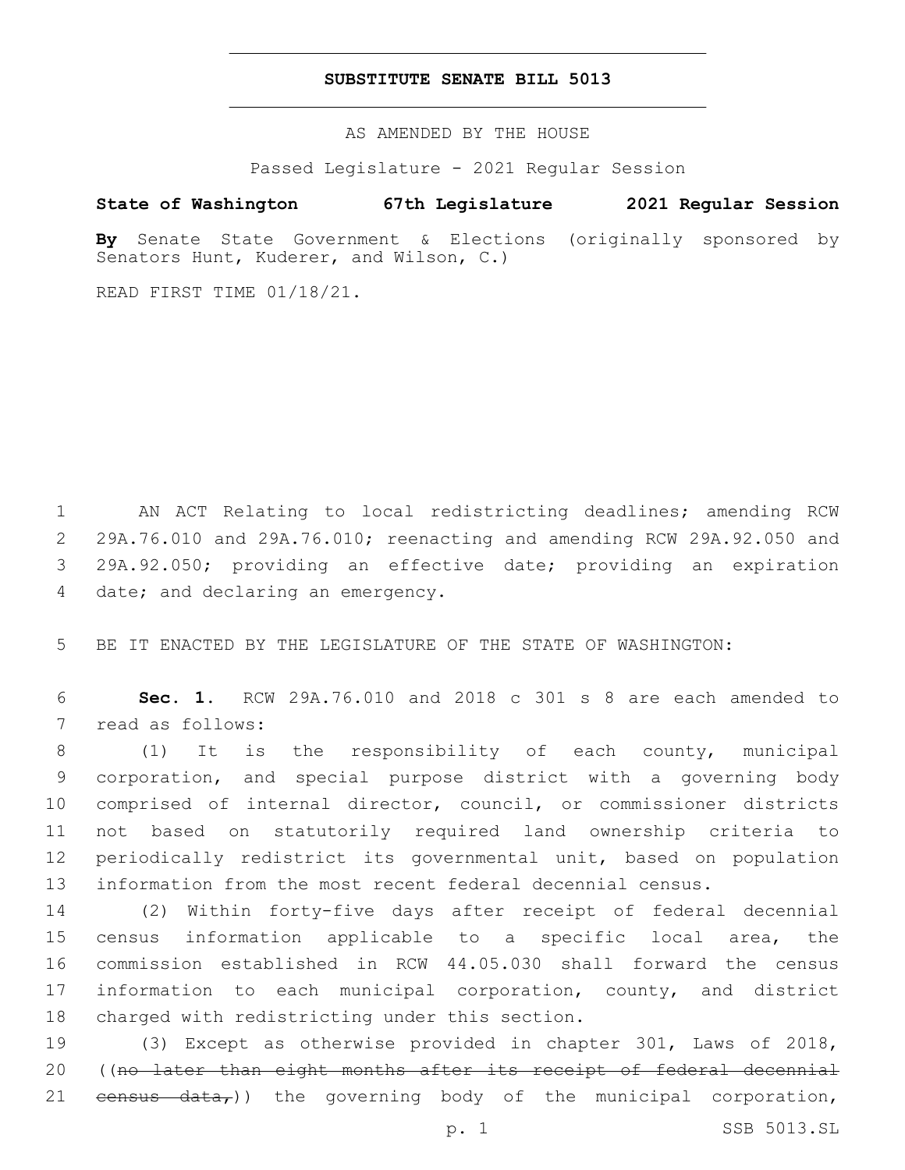#### **SUBSTITUTE SENATE BILL 5013**

AS AMENDED BY THE HOUSE

Passed Legislature - 2021 Regular Session

# **State of Washington 67th Legislature 2021 Regular Session**

**By** Senate State Government & Elections (originally sponsored by Senators Hunt, Kuderer, and Wilson, C.)

READ FIRST TIME 01/18/21.

 AN ACT Relating to local redistricting deadlines; amending RCW 29A.76.010 and 29A.76.010; reenacting and amending RCW 29A.92.050 and 29A.92.050; providing an effective date; providing an expiration 4 date; and declaring an emergency.

5 BE IT ENACTED BY THE LEGISLATURE OF THE STATE OF WASHINGTON:

6 **Sec. 1.** RCW 29A.76.010 and 2018 c 301 s 8 are each amended to 7 read as follows:

 (1) It is the responsibility of each county, municipal corporation, and special purpose district with a governing body comprised of internal director, council, or commissioner districts not based on statutorily required land ownership criteria to periodically redistrict its governmental unit, based on population information from the most recent federal decennial census.

 (2) Within forty-five days after receipt of federal decennial census information applicable to a specific local area, the commission established in RCW 44.05.030 shall forward the census information to each municipal corporation, county, and district 18 charged with redistricting under this section.

19 (3) Except as otherwise provided in chapter 301, Laws of 2018, 20 ((no later than eight months after its receipt of federal decennial 21  $eensus - data$ , the governing body of the municipal corporation,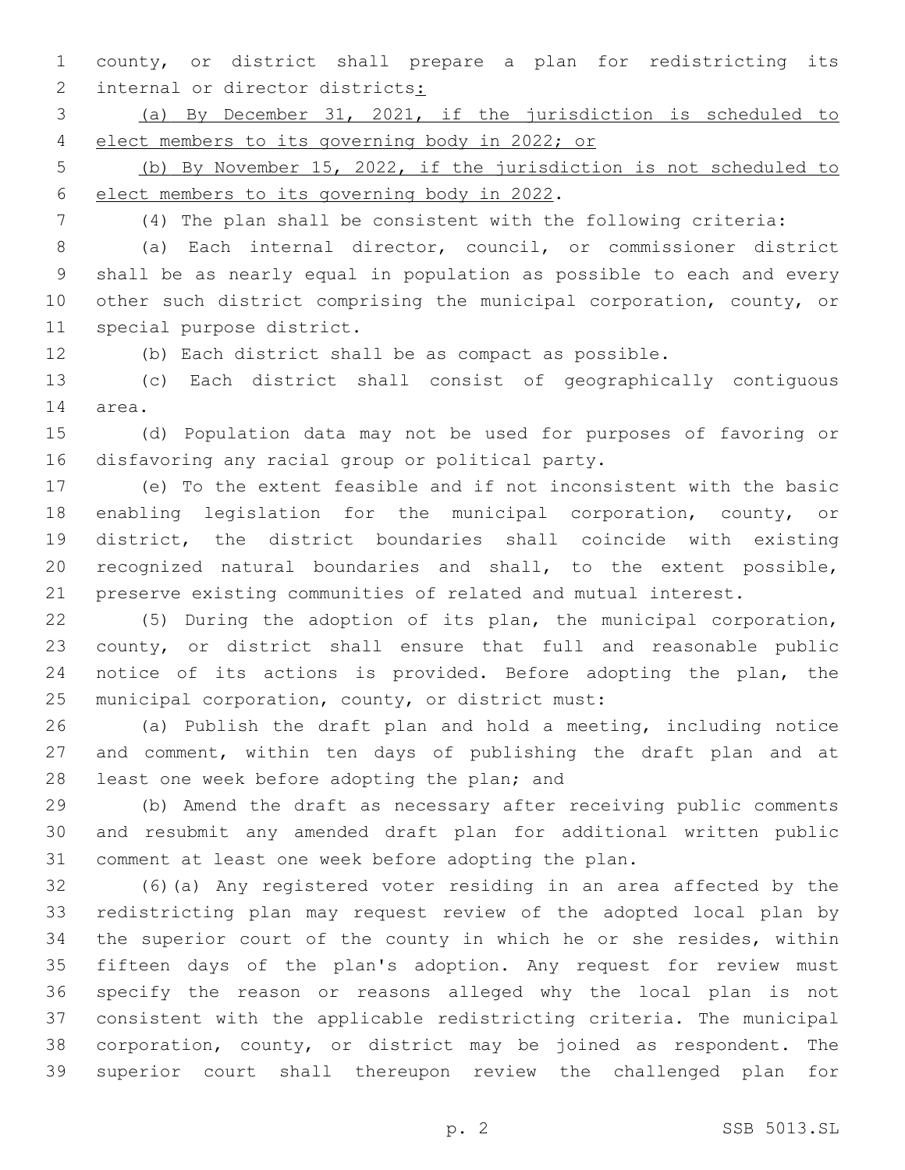county, or district shall prepare a plan for redistricting its 2 internal or director districts:

 (a) By December 31, 2021, if the jurisdiction is scheduled to elect members to its governing body in 2022; or

 (b) By November 15, 2022, if the jurisdiction is not scheduled to 6 elect members to its governing body in 2022.

(4) The plan shall be consistent with the following criteria:

 (a) Each internal director, council, or commissioner district shall be as nearly equal in population as possible to each and every other such district comprising the municipal corporation, county, or 11 special purpose district.

(b) Each district shall be as compact as possible.

 (c) Each district shall consist of geographically contiguous 14 area.

 (d) Population data may not be used for purposes of favoring or 16 disfavoring any racial group or political party.

 (e) To the extent feasible and if not inconsistent with the basic enabling legislation for the municipal corporation, county, or district, the district boundaries shall coincide with existing recognized natural boundaries and shall, to the extent possible, preserve existing communities of related and mutual interest.

 (5) During the adoption of its plan, the municipal corporation, county, or district shall ensure that full and reasonable public notice of its actions is provided. Before adopting the plan, the 25 municipal corporation, county, or district must:

 (a) Publish the draft plan and hold a meeting, including notice and comment, within ten days of publishing the draft plan and at 28 least one week before adopting the plan; and

 (b) Amend the draft as necessary after receiving public comments and resubmit any amended draft plan for additional written public comment at least one week before adopting the plan.

 (6)(a) Any registered voter residing in an area affected by the redistricting plan may request review of the adopted local plan by the superior court of the county in which he or she resides, within fifteen days of the plan's adoption. Any request for review must specify the reason or reasons alleged why the local plan is not consistent with the applicable redistricting criteria. The municipal corporation, county, or district may be joined as respondent. The superior court shall thereupon review the challenged plan for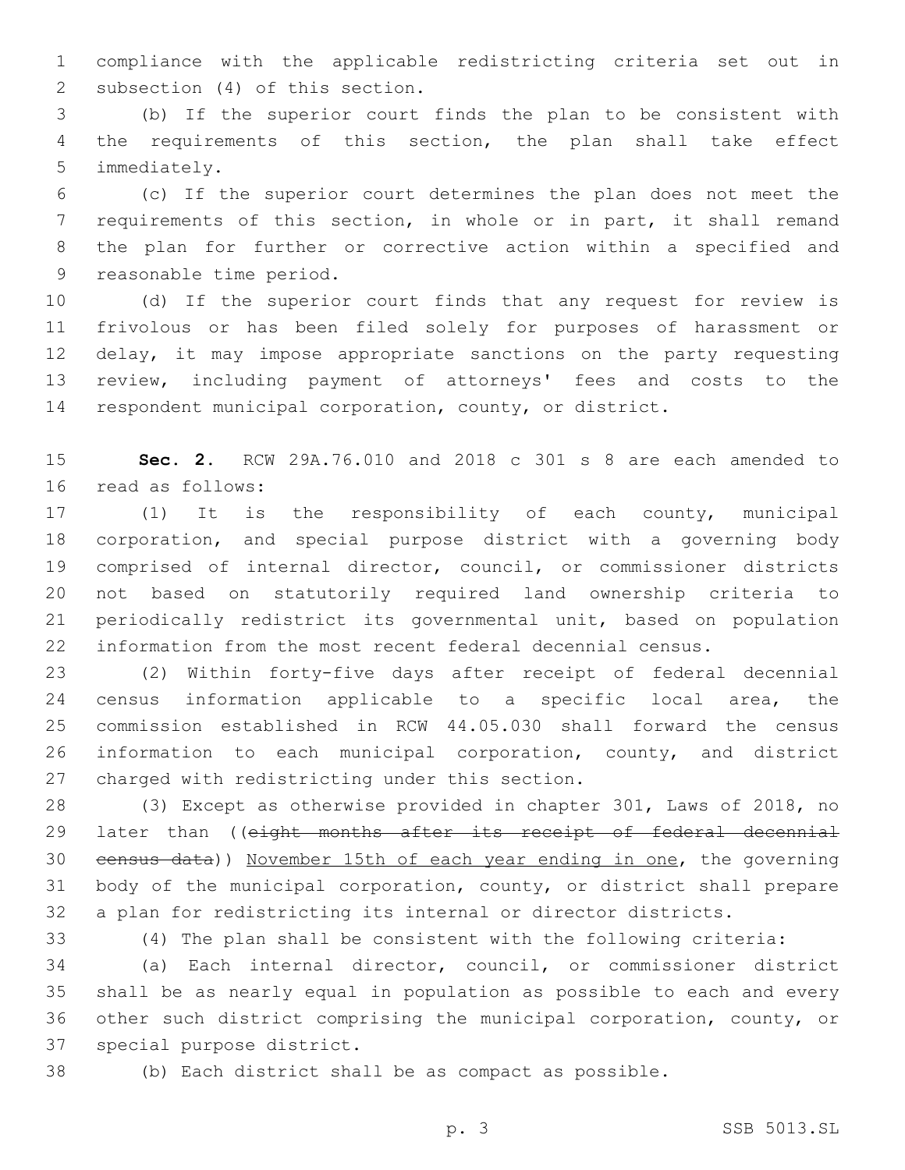compliance with the applicable redistricting criteria set out in 2 subsection (4) of this section.

 (b) If the superior court finds the plan to be consistent with the requirements of this section, the plan shall take effect 5 immediately.

 (c) If the superior court determines the plan does not meet the requirements of this section, in whole or in part, it shall remand the plan for further or corrective action within a specified and 9 reasonable time period.

 (d) If the superior court finds that any request for review is frivolous or has been filed solely for purposes of harassment or 12 delay, it may impose appropriate sanctions on the party requesting review, including payment of attorneys' fees and costs to the respondent municipal corporation, county, or district.

 **Sec. 2.** RCW 29A.76.010 and 2018 c 301 s 8 are each amended to 16 read as follows:

 (1) It is the responsibility of each county, municipal corporation, and special purpose district with a governing body comprised of internal director, council, or commissioner districts not based on statutorily required land ownership criteria to periodically redistrict its governmental unit, based on population information from the most recent federal decennial census.

 (2) Within forty-five days after receipt of federal decennial census information applicable to a specific local area, the commission established in RCW 44.05.030 shall forward the census information to each municipal corporation, county, and district 27 charged with redistricting under this section.

 (3) Except as otherwise provided in chapter 301, Laws of 2018, no 29 later than ((eight months after its receipt of federal decennial census data)) November 15th of each year ending in one, the governing body of the municipal corporation, county, or district shall prepare a plan for redistricting its internal or director districts.

(4) The plan shall be consistent with the following criteria:

 (a) Each internal director, council, or commissioner district shall be as nearly equal in population as possible to each and every other such district comprising the municipal corporation, county, or 37 special purpose district.

(b) Each district shall be as compact as possible.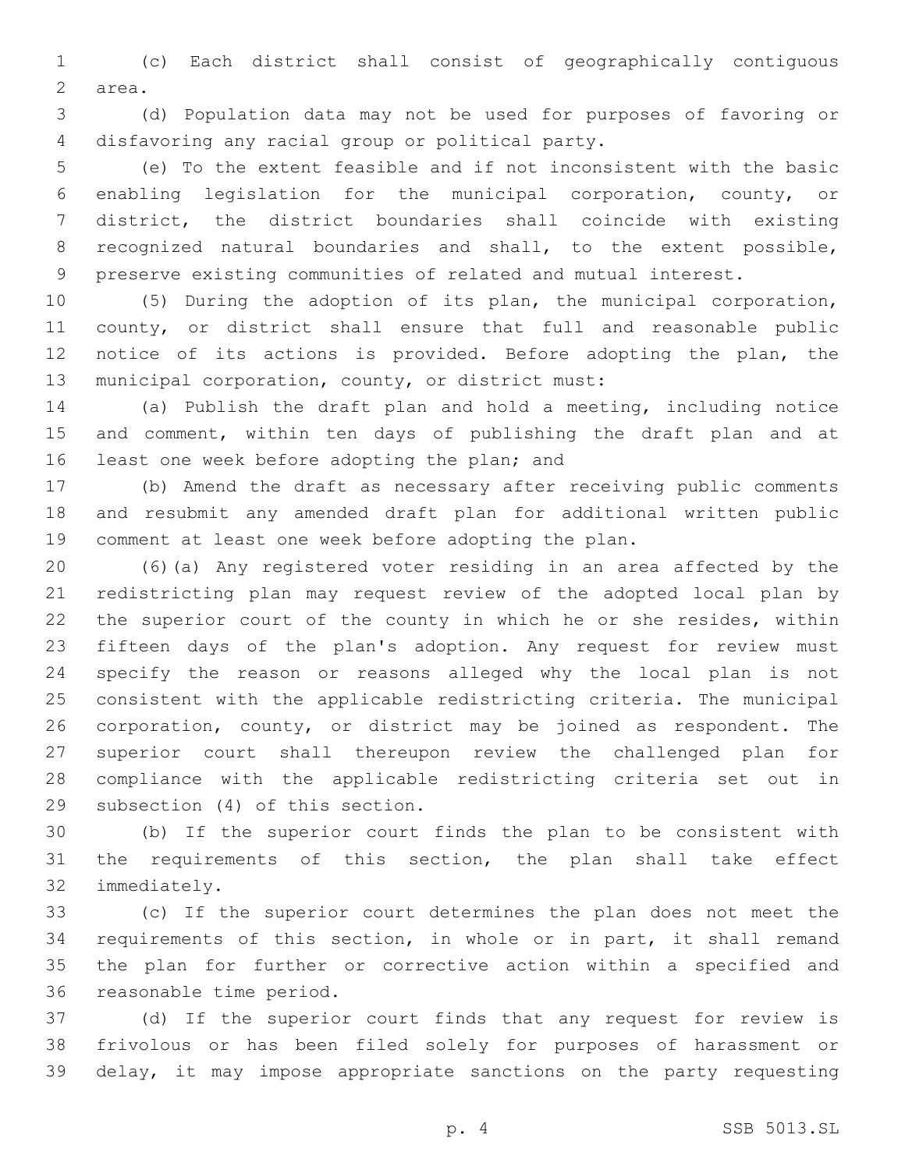(c) Each district shall consist of geographically contiguous 2 area.

 (d) Population data may not be used for purposes of favoring or 4 disfavoring any racial group or political party.

 (e) To the extent feasible and if not inconsistent with the basic enabling legislation for the municipal corporation, county, or district, the district boundaries shall coincide with existing recognized natural boundaries and shall, to the extent possible, preserve existing communities of related and mutual interest.

 (5) During the adoption of its plan, the municipal corporation, county, or district shall ensure that full and reasonable public notice of its actions is provided. Before adopting the plan, the 13 municipal corporation, county, or district must:

 (a) Publish the draft plan and hold a meeting, including notice 15 and comment, within ten days of publishing the draft plan and at 16 least one week before adopting the plan; and

 (b) Amend the draft as necessary after receiving public comments and resubmit any amended draft plan for additional written public comment at least one week before adopting the plan.

 (6)(a) Any registered voter residing in an area affected by the redistricting plan may request review of the adopted local plan by the superior court of the county in which he or she resides, within fifteen days of the plan's adoption. Any request for review must specify the reason or reasons alleged why the local plan is not consistent with the applicable redistricting criteria. The municipal corporation, county, or district may be joined as respondent. The superior court shall thereupon review the challenged plan for compliance with the applicable redistricting criteria set out in 29 subsection (4) of this section.

 (b) If the superior court finds the plan to be consistent with the requirements of this section, the plan shall take effect 32 immediately.

 (c) If the superior court determines the plan does not meet the requirements of this section, in whole or in part, it shall remand the plan for further or corrective action within a specified and 36 reasonable time period.

 (d) If the superior court finds that any request for review is frivolous or has been filed solely for purposes of harassment or delay, it may impose appropriate sanctions on the party requesting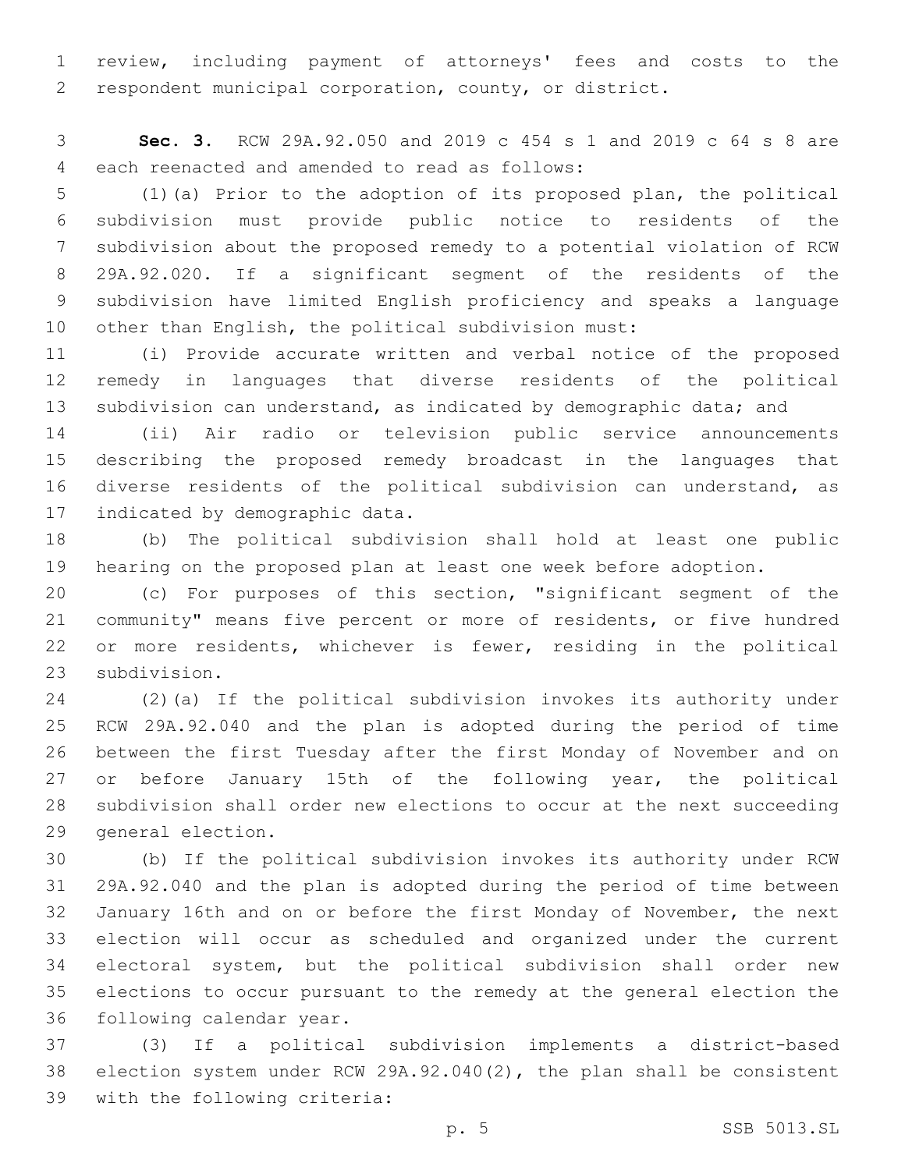review, including payment of attorneys' fees and costs to the respondent municipal corporation, county, or district.

 **Sec. 3.** RCW 29A.92.050 and 2019 c 454 s 1 and 2019 c 64 s 8 are 4 each reenacted and amended to read as follows:

 (1)(a) Prior to the adoption of its proposed plan, the political subdivision must provide public notice to residents of the subdivision about the proposed remedy to a potential violation of RCW 29A.92.020. If a significant segment of the residents of the subdivision have limited English proficiency and speaks a language other than English, the political subdivision must:

 (i) Provide accurate written and verbal notice of the proposed remedy in languages that diverse residents of the political 13 subdivision can understand, as indicated by demographic data; and

 (ii) Air radio or television public service announcements describing the proposed remedy broadcast in the languages that diverse residents of the political subdivision can understand, as 17 indicated by demographic data.

 (b) The political subdivision shall hold at least one public hearing on the proposed plan at least one week before adoption.

 (c) For purposes of this section, "significant segment of the community" means five percent or more of residents, or five hundred or more residents, whichever is fewer, residing in the political 23 subdivision.

 (2)(a) If the political subdivision invokes its authority under RCW 29A.92.040 and the plan is adopted during the period of time between the first Tuesday after the first Monday of November and on 27 or before January 15th of the following year, the political subdivision shall order new elections to occur at the next succeeding 29 general election.

 (b) If the political subdivision invokes its authority under RCW 29A.92.040 and the plan is adopted during the period of time between January 16th and on or before the first Monday of November, the next election will occur as scheduled and organized under the current electoral system, but the political subdivision shall order new elections to occur pursuant to the remedy at the general election the 36 following calendar year.

 (3) If a political subdivision implements a district-based election system under RCW 29A.92.040(2), the plan shall be consistent 39 with the following criteria: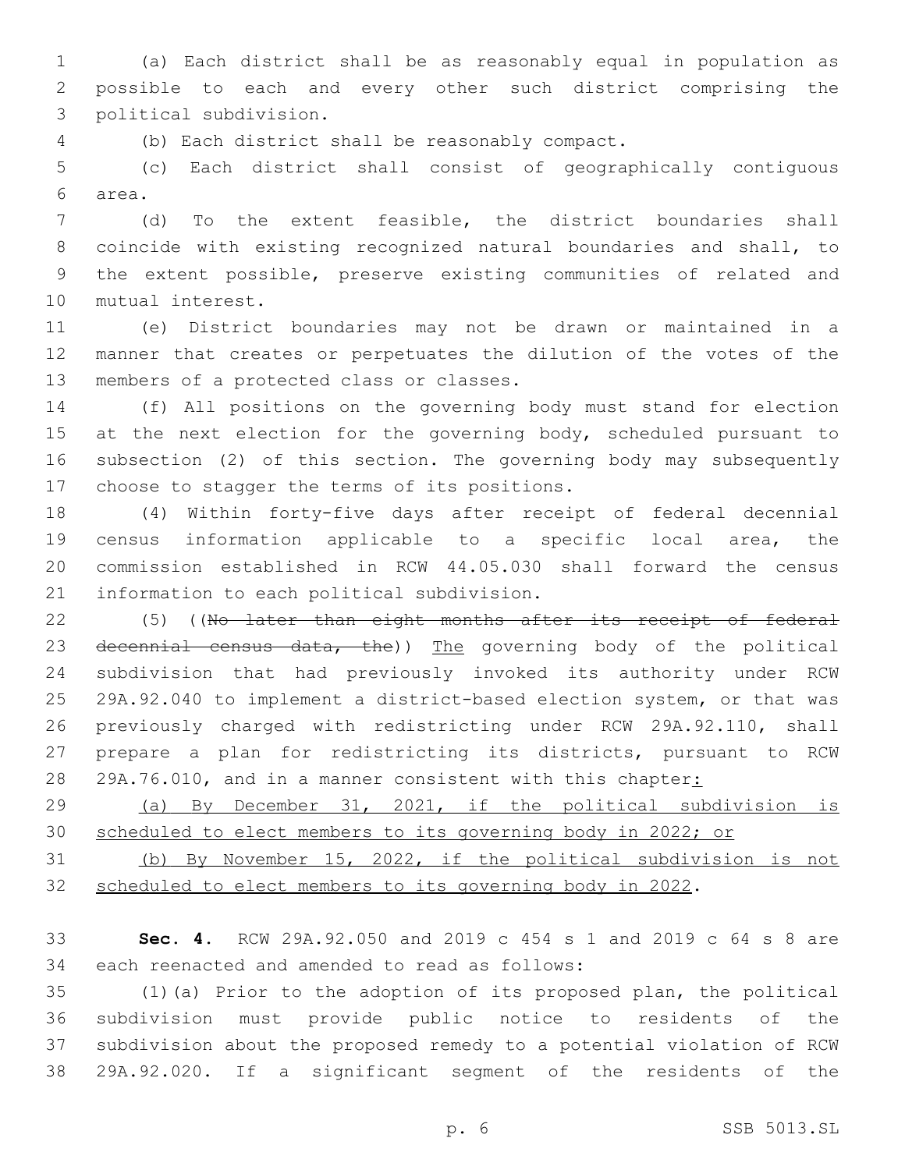(a) Each district shall be as reasonably equal in population as possible to each and every other such district comprising the political subdivision.3

(b) Each district shall be reasonably compact.4

 (c) Each district shall consist of geographically contiguous area.6

 (d) To the extent feasible, the district boundaries shall coincide with existing recognized natural boundaries and shall, to the extent possible, preserve existing communities of related and 10 mutual interest.

 (e) District boundaries may not be drawn or maintained in a manner that creates or perpetuates the dilution of the votes of the 13 members of a protected class or classes.

 (f) All positions on the governing body must stand for election 15 at the next election for the governing body, scheduled pursuant to subsection (2) of this section. The governing body may subsequently 17 choose to stagger the terms of its positions.

 (4) Within forty-five days after receipt of federal decennial census information applicable to a specific local area, the commission established in RCW 44.05.030 shall forward the census 21 information to each political subdivision.

22 (5) ((No later than eight months after its receipt of federal 23 decennial census data, the)) The governing body of the political subdivision that had previously invoked its authority under RCW 29A.92.040 to implement a district-based election system, or that was previously charged with redistricting under RCW 29A.92.110, shall prepare a plan for redistricting its districts, pursuant to RCW 28 29A.76.010, and in a manner consistent with this chapter:

 (a) By December 31, 2021, if the political subdivision is scheduled to elect members to its governing body in 2022; or

 (b) By November 15, 2022, if the political subdivision is not scheduled to elect members to its governing body in 2022.

 **Sec. 4.** RCW 29A.92.050 and 2019 c 454 s 1 and 2019 c 64 s 8 are 34 each reenacted and amended to read as follows:

 (1)(a) Prior to the adoption of its proposed plan, the political subdivision must provide public notice to residents of the subdivision about the proposed remedy to a potential violation of RCW 29A.92.020. If a significant segment of the residents of the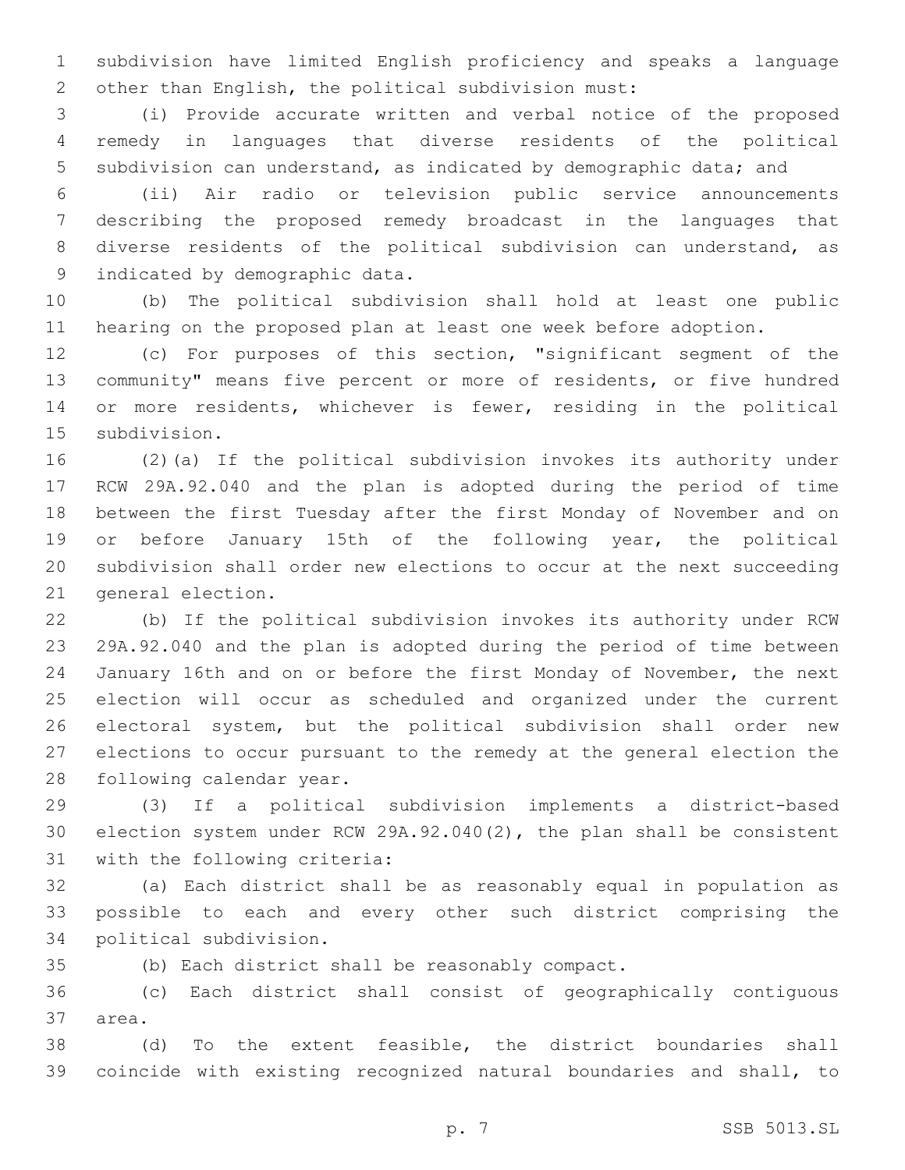subdivision have limited English proficiency and speaks a language other than English, the political subdivision must:

 (i) Provide accurate written and verbal notice of the proposed remedy in languages that diverse residents of the political subdivision can understand, as indicated by demographic data; and

 (ii) Air radio or television public service announcements describing the proposed remedy broadcast in the languages that diverse residents of the political subdivision can understand, as 9 indicated by demographic data.

 (b) The political subdivision shall hold at least one public hearing on the proposed plan at least one week before adoption.

 (c) For purposes of this section, "significant segment of the community" means five percent or more of residents, or five hundred or more residents, whichever is fewer, residing in the political 15 subdivision.

 (2)(a) If the political subdivision invokes its authority under RCW 29A.92.040 and the plan is adopted during the period of time between the first Tuesday after the first Monday of November and on or before January 15th of the following year, the political subdivision shall order new elections to occur at the next succeeding 21 general election.

 (b) If the political subdivision invokes its authority under RCW 29A.92.040 and the plan is adopted during the period of time between January 16th and on or before the first Monday of November, the next election will occur as scheduled and organized under the current electoral system, but the political subdivision shall order new elections to occur pursuant to the remedy at the general election the 28 following calendar year.

 (3) If a political subdivision implements a district-based election system under RCW 29A.92.040(2), the plan shall be consistent 31 with the following criteria:

 (a) Each district shall be as reasonably equal in population as possible to each and every other such district comprising the 34 political subdivision.

(b) Each district shall be reasonably compact.

 (c) Each district shall consist of geographically contiguous 37 area.

 (d) To the extent feasible, the district boundaries shall coincide with existing recognized natural boundaries and shall, to